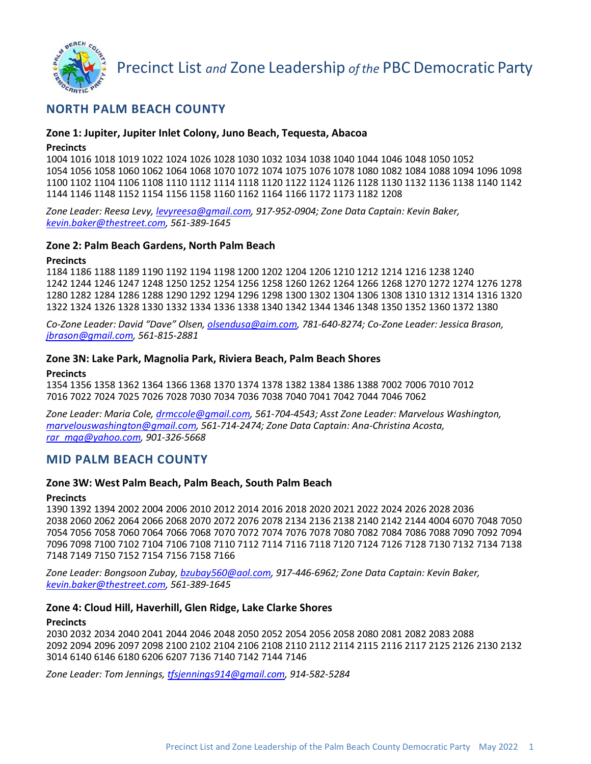

# **NORTH PALM BEACH COUNTY**

### **Zone 1: Jupiter, Jupiter Inlet Colony, Juno Beach, Tequesta, Abacoa**

### **Precincts**

1004 1016 1018 1019 1022 1024 1026 1028 1030 1032 1034 1038 1040 1044 1046 1048 1050 1052 1054 1056 1058 1060 1062 1064 1068 1070 1072 1074 1075 1076 1078 1080 1082 1084 1088 1094 1096 1098 1100 1102 1104 1106 1108 1110 1112 1114 1118 1120 1122 1124 1126 1128 1130 1132 1136 1138 1140 1142 1144 1146 1148 1152 1154 1156 1158 1160 1162 1164 1166 1172 1173 1182 1208

*Zone Leader: Reesa Levy[, levyreesa@gmail.com,](mailto:levyreesa@gmail.com) 917-952-0904; Zone Data Captain: Kevin Baker, [kevin.baker@thestreet.com,](mailto:kevin.baker@thestreet.com) 561-389-1645*

### **Zone 2: Palm Beach Gardens, North Palm Beach**

### **Precincts**

1184 1186 1188 1189 1190 1192 1194 1198 1200 1202 1204 1206 1210 1212 1214 1216 1238 1240 1242 1244 1246 1247 1248 1250 1252 1254 1256 1258 1260 1262 1264 1266 1268 1270 1272 1274 1276 1278 1280 1282 1284 1286 1288 1290 1292 1294 1296 1298 1300 1302 1304 1306 1308 1310 1312 1314 1316 1320 1322 1324 1326 1328 1330 1332 1334 1336 1338 1340 1342 1344 1346 1348 1350 1352 1360 1372 1380

*Co-Zone Leader: David "Dave" Olsen, [olsendusa@aim.com,](mailto:olsendusa@aim.com) 781-640-8274; Co-Zone Leader: Jessica Brason, [jbrason@gmail.com,](mailto:jbrason@gmail.com) 561-815-2881*

### **Zone 3N: Lake Park, Magnolia Park, Riviera Beach, Palm Beach Shores**

### **Precincts**

1354 1356 1358 1362 1364 1366 1368 1370 1374 1378 1382 1384 1386 1388 7002 7006 7010 7012 7016 7022 7024 7025 7026 7028 7030 7034 7036 7038 7040 7041 7042 7044 7046 7062

*Zone Leader: Maria Cole[, drmccole@gmail.com,](mailto:drmccole@gmail.com) 561-704-4543; Asst Zone Leader: Marvelous Washington, [marvelouswashington@gmail.com,](mailto:marvelouswashington@gmail.com) 561-714-2474; Zone Data Captain: Ana-Christina Acosta, [rar\\_mga@yahoo.com,](mailto:rar_mga@yahoo.com) 901-326-5668*

## **MID PALM BEACH COUNTY**

### **Zone 3W: West Palm Beach, Palm Beach, South Palm Beach**

### **Precincts**

1390 1392 1394 2002 2004 2006 2010 2012 2014 2016 2018 2020 2021 2022 2024 2026 2028 2036 2038 2060 2062 2064 2066 2068 2070 2072 2076 2078 2134 2136 2138 2140 2142 2144 4004 6070 7048 7050 7054 7056 7058 7060 7064 7066 7068 7070 7072 7074 7076 7078 7080 7082 7084 7086 7088 7090 7092 7094 7096 7098 7100 7102 7104 7106 7108 7110 7112 7114 7116 7118 7120 7124 7126 7128 7130 7132 7134 7138 7148 7149 7150 7152 7154 7156 7158 7166

*Zone Leader: Bongsoon Zubay, [bzubay560@aol.com,](mailto:bzubay560@aol.com) 917-446-6962; Zone Data Captain: Kevin Baker, [kevin.baker@thestreet.com,](mailto:kevin.baker@thestreet.com) 561-389-1645*

### **Zone 4: Cloud Hill, Haverhill, Glen Ridge, Lake Clarke Shores**

### **Precincts**

2030 2032 2034 2040 2041 2044 2046 2048 2050 2052 2054 2056 2058 2080 2081 2082 2083 2088 2092 2094 2096 2097 2098 2100 2102 2104 2106 2108 2110 2112 2114 2115 2116 2117 2125 2126 2130 2132 3014 6140 6146 6180 6206 6207 7136 7140 7142 7144 7146

*Zone Leader: Tom Jennings, [tfsjennings914@gmail.com,](mailto:tfsjennings914@gmail.com) 914-582-5284*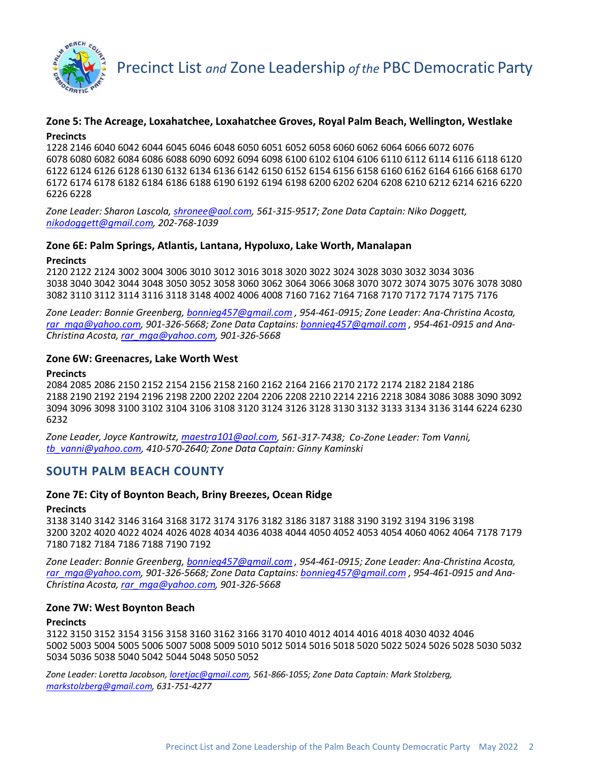

### **Zone 5: The Acreage, Loxahatchee, Loxahatchee Groves, Royal Palm Beach, Wellington, Westlake Precincts**

1228 2146 6040 6042 6044 6045 6046 6048 6050 6051 6052 6058 6060 6062 6064 6066 6072 6076 6078 6080 6082 6084 6086 6088 6090 6092 6094 6098 6100 6102 6104 6106 6110 6112 6114 6116 6118 6120 6122 6124 6126 6128 6130 6132 6134 6136 6142 6150 6152 6154 6156 6158 6160 6162 6164 6166 6168 6170 6172 6174 6178 6182 6184 6186 6188 6190 6192 6194 6198 6200 6202 6204 6208 6210 6212 6214 6216 6220 6226 6228

*Zone Leader: Sharon Lascola, [shronee@aol.com,](mailto:shronee@aol.com) 561-315-9517; Zone Data Captain: Niko Doggett, [nikodoggett@gmail.com,](mailto:nikodoggett@gmail.com) 202-768-1039*

## **Zone 6E: Palm Springs, Atlantis, Lantana, Hypoluxo, Lake Worth, Manalapan**

### **Precincts**

2120 2122 2124 3002 3004 3006 3010 3012 3016 3018 3020 3022 3024 3028 3030 3032 3034 3036 3038 3040 3042 3044 3048 3050 3052 3058 3060 3062 3064 3066 3068 3070 3072 3074 3075 3076 3078 3080 3082 3110 3112 3114 3116 3118 3148 4002 4006 4008 7160 7162 7164 7168 7170 7172 7174 7175 7176

*Zone Leader: Bonnie Greenberg[, bonnieg457@gmail.com](mailto:bonnieg457@gmail.com) , 954-461-0915; Zone Leader: Ana-Christina Acosta, [rar\\_mga@yahoo.com,](mailto:rar_mga@yahoo.com) 901-326-5668; Zone Data Captains[: bonnieg457@gmail.com](mailto:bonnieg457@gmail.com) , 954-461-0915 and Ana-Christina Acosta[, rar\\_mga@yahoo.com,](mailto:rar_mga@yahoo.com) 901-326-5668*

### **Zone 6W: Greenacres, Lake Worth West**

### **Precincts**

2084 2085 2086 2150 2152 2154 2156 2158 2160 2162 2164 2166 2170 2172 2174 2182 2184 2186 2188 2190 2192 2194 2196 2198 2200 2202 2204 2206 2208 2210 2214 2216 2218 3084 3086 3088 3090 3092 3094 3096 3098 3100 3102 3104 3106 3108 3120 3124 3126 3128 3130 3132 3133 3134 3136 3144 6224 6230 6232

*Zone Leader, Joyce Kantrowitz, [maestra101@aol.com,](mailto:maestra101@aol.com) 561-317-7438; Co-Zone Leader: Tom Vanni, [tb\\_vanni@yahoo.com,](mailto:tb_vanni@yahoo.com) 410-570-2640; Zone Data Captain: Ginny Kaminski*

## **SOUTH PALM BEACH COUNTY**

### **Zone 7E: City of Boynton Beach, Briny Breezes, Ocean Ridge**

#### **Precincts**

3138 3140 3142 3146 3164 3168 3172 3174 3176 3182 3186 3187 3188 3190 3192 3194 3196 3198 3200 3202 4020 4022 4024 4026 4028 4034 4036 4038 4044 4050 4052 4053 4054 4060 4062 4064 7178 7179 7180 7182 7184 7186 7188 7190 7192

*Zone Leader: Bonnie Greenberg[, bonnieg457@gmail.com](mailto:bonnieg457@gmail.com) , 954-461-0915; Zone Leader: Ana-Christina Acosta, [rar\\_mga@yahoo.com,](mailto:rar_mga@yahoo.com) 901-326-5668; Zone Data Captains[: bonnieg457@gmail.com](mailto:bonnieg457@gmail.com) , 954-461-0915 and Ana-Christina Acosta[, rar\\_mga@yahoo.com,](mailto:rar_mga@yahoo.com) 901-326-5668*

### **Zone 7W: West Boynton Beach**

#### **Precincts**

3122 3150 3152 3154 3156 3158 3160 3162 3166 3170 4010 4012 4014 4016 4018 4030 4032 4046 5002 5003 5004 5005 5006 5007 5008 5009 5010 5012 5014 5016 5018 5020 5022 5024 5026 5028 5030 5032 5034 5036 5038 5040 5042 5044 5048 5050 5052

*Zone Leader: Loretta Jacobson[, loretjac@gmail.com,](mailto:loretjac@gmail.com) 561-866-1055; Zone Data Captain: Mark Stolzberg, [markstolzberg@gmail.com,](mailto:markstolzberg@gmail.com) 631-751-4277*